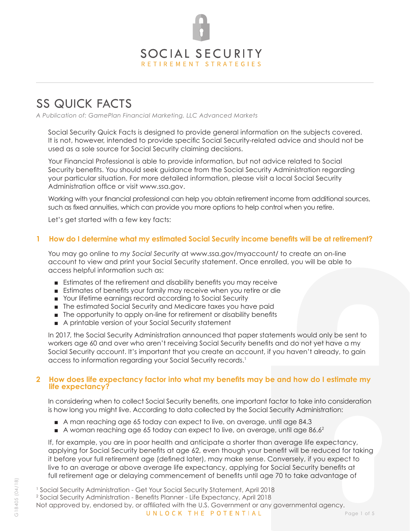

# SS QUICK FACTS

*A Publication of: GamePlan Financial Marketing, LLC Advanced Markets*

Social Security Quick Facts is designed to provide general information on the subjects covered. It is not, however, intended to provide specific Social Security-related advice and should not be used as a sole source for Social Security claiming decisions.

Your Financial Professional is able to provide information, but not advice related to Social Security benefits. You should seek guidance from the Social Security Administration regarding your particular situation. For more detailed information, please visit a local Social Security Administration office or visit www.ssa.gov.

Working with your financial professional can help you obtain retirement income from additional sources, such as fixed annuities, which can provide you more options to help control when you retire.

Let's get started with a few key facts:

#### **1 How do I determine what my estimated Social Security income benefits will be at retirement?**

You may go online to *my Social Security* at www.ssa.gov/myaccount/ to create an on-line account to view and print your Social Security statement. Once enrolled, you will be able to access helpful information such as:

- Estimates of the retirement and disability benefits you may receive
- Estimates of benefits your family may receive when you retire or die
- Your lifetime earnings record according to Social Security
- The estimated Social Security and Medicare taxes you have paid
- The opportunity to apply on-line for retirement or disability benefits
- A printable version of your Social Security statement

In 2017, the Social Security Administration announced that paper statements would only be sent to workers age 60 and over who aren't receiving Social Security benefits and do not yet have a my Social Security account. It's important that you create an account, if you haven't already, to gain access to information regarding your Social Security records.<sup>1</sup>

#### **2 How does life expectancy factor into what my benefits may be and how do I estimate my life expectancy?**

In considering when to collect Social Security benefits, one important factor to take into consideration is how long you might live. According to data collected by the Social Security Administration:

- A man reaching age 65 today can expect to live, on average, until age 84.3
- $\blacksquare$  A woman reaching age 65 today can expect to live, on average, until age 86.6<sup>2</sup>

If, for example, you are in poor health and anticipate a shorter than average life expectancy, applying for Social Security benefits at age 62, even though your benefit will be reduced for taking it before your full retirement age (defined later), may make sense. Conversely, if you expect to live to an average or above average life expectancy, applying for Social Security benefits at full retirement age or delaying commencement of benefits until age 70 to take advantage of

Not approved by, endorsed by, or affiliated with the U.S. Government or any governmental agency.

<sup>1</sup> Social Security Administration - Get Your Social Security Statement, April 2018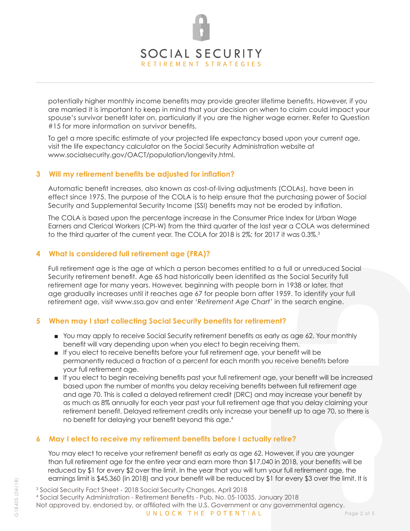# SOCIAL SECURITY RETIREMENT STRATEGIES

potentially higher monthly income benefits may provide greater lifetime benefits. However, if you are married it is important to keep in mind that your decision on when to claim could impact your spouse's survivor benefit later on, particularly if you are the higher wage earner. Refer to Question #15 for more information on survivor benefits.

To get a more specific estimate of your projected life expectancy based upon your current age, visit the life expectancy calculator on the Social Security Administration website at www.socialsecurity.gov/OACT/population/longevity.html.

#### **3 Will my retirement benefits be adjusted for inflation?**

Automatic benefit increases, also known as cost-of-living adjustments (COLAs), have been in effect since 1975. The purpose of the COLA is to help ensure that the purchasing power of Social Security and Supplemental Security Income (SSI) benefits may not be eroded by inflation.

The COLA is based upon the percentage increase in the Consumer Price Index for Urban Wage Earners and Clerical Workers (CPI-W) from the third quarter of the last year a COLA was determined to the third quarter of the current year. The COLA for 2018 is 2%; for 2017 it was 0.3%.<sup>3</sup>

#### **4 What is considered full retirement age (FRA)?**

Full retirement age is the age at which a person becomes entitled to a full or unreduced Social Security retirement benefit. Age 65 had historically been identified as the Social Security full retirement age for many years. However, beginning with people born in 1938 or later, that age gradually increases until it reaches age 67 for people born after 1959. To identify your full retirement age, visit www.ssa.gov and enter *'Retirement Age Chart'* in the search engine.

# **5 When may I start collecting Social Security benefits for retirement?**

- You may apply to receive Social Security retirement benefits as early as age 62. Your monthly benefit will vary depending upon when you elect to begin receiving them.
- If you elect to receive benefits before your full retirement age, your benefit will be permanently reduced a fraction of a percent for each month you receive benefits before your full retirement age.
- If you elect to begin receiving benefits past your full retirement age, your benefit will be increased based upon the number of months you delay receiving benefits between full retirement age and age 70. This is called a delayed retirement credit (DRC) and may increase your benefit by as much as 8% annually for each year past your full retirement age that you delay claiming your retirement benefit. Delayed retirement credits only increase your benefit up to age 70, so there is no benefit for delaying your benefit beyond this age.4

# **6 May I elect to receive my retirement benefits before I actually retire?**

You may elect to receive your retirement benefit as early as age 62. However, if you are younger than full retirement age for the entire year and earn more than \$17,040 in 2018, your benefits will be reduced by \$1 for every \$2 over the limit. In the year that you will turn your full retirement age, the earnings limit is \$45,360 (in 2018) and your benefit will be reduced by \$1 for every \$3 over the limit. It is

3 Social Security Fact Sheet - 2018 Social Security Changes, April 2018

4 Social Security Administration - Retirement Benefits - Pub. No. 05-10035, January 2018Not approved by, endorsed by, or affiliated with the U.S. Government or any governmental agency. UNLOCK THE POTENTIAL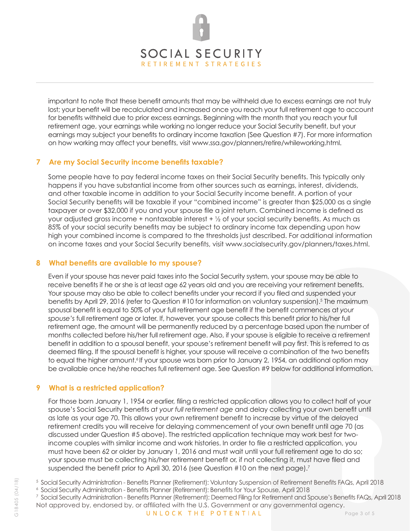

important to note that these benefit amounts that may be withheld due to excess earnings are not truly lost; your benefit will be recalculated and increased once you reach your full retirement age to account for benefits withheld due to prior excess earnings. Beginning with the month that you reach your full retirement age, your earnings while working no longer reduce your Social Security benefit, but your earnings may subject your benefits to ordinary income taxation (See Question #7). For more information on how working may affect your benefits, visit www.ssa.gov/planners/retire/whileworking.html.

# **7 Are my Social Security income benefits taxable?**

Some people have to pay federal income taxes on their Social Security benefits. This typically only happens if you have substantial income from other sources such as earnings, interest, dividends, and other taxable income in addition to your Social Security income benefit. A portion of your Social Security benefits will be taxable if your "combined income" is greater than \$25,000 as a single taxpayer or over \$32,000 if you and your spouse file a joint return. Combined income is defined as your adjusted gross income + nontaxable interest  $+ \frac{1}{2}$  of your social security benefits. As much as 85% of your social security benefits may be subject to ordinary income tax depending upon how high your combined income is compared to the thresholds just described. For additional information on income taxes and your Social Security benefits, visit www.socialsecurity.gov/planners/taxes.html.

#### **8 What benefits are available to my spouse?**

Even if your spouse has never paid taxes into the Social Security system, your spouse may be able to receive benefits if he or she is at least age 62 years old and you are receiving your retirement benefits. Your spouse may also be able to collect benefits under your record if you filed and suspended your benefits by April 29, 2016 (refer to Question #10 for information on voluntary suspension).<sup>5</sup> The maximum spousal benefit is equal to 50% of your full retirement age benefit if the benefit commences at *your spouse's* full retirement age or later. If, however, your spouse collects this benefit prior to his/her full retirement age, the amount will be permanently reduced by a percentage based upon the number of months collected before his/her full retirement age. Also, if your spouse is eligible to receive a retirement benefit in addition to a spousal benefit, your spouse's retirement benefit will pay first. This is referred to as deemed filing. If the spousal benefit is higher, your spouse will receive a combination of the two benefits to equal the higher amount.<sup>6</sup> If your spouse was born prior to January 2, 1954, an additional option may be available once he/she reaches full retirement age. See Question #9 below for additional information.

# **9 What is a restricted application?**

For those born January 1, 1954 or earlier, filing a restricted application allows you to collect half of your spouse's Social Security benefits *at your full retirement age* and delay collecting your own benefit until as late as your age 70. This allows your own retirement benefit to increase by virtue of the delayed retirement credits you will receive for delaying commencement of your own benefit until age 70 (as discussed under Question #5 above). The restricted application technique may work best for twoincome couples with similar income and work histories. In order to file a restricted application, you must have been 62 or older by January 1, 2016 and must wait until your full retirement age to do so; your spouse must be collecting his/her retirement benefit or, if not collecting it, must have filed and suspended the benefit prior to April 30, 2016 (see Question #10 on the next page).<sup>7</sup>

<sup>6</sup>Social Security Administration - Benefits Planner (Retirement): Benefits for Your Spouse, April 2018

Not approved by, endorsed by, or affiliated with the U.S. Government or any governmental agency. 7 Social Security Administration - Benefits Planner (Retirement): Deemed Filing for Retirement and Spouse's Benefits FAQs, April 2018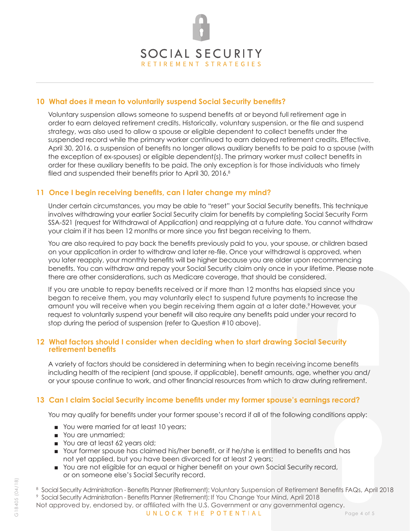

#### **10 What does it mean to voluntarily suspend Social Security benefits?**

Voluntary suspension allows someone to suspend benefits at or beyond full retirement age in order to earn delayed retirement credits. Historically, voluntary suspension, or the file and suspend strategy, was also used to allow a spouse or eligible dependent to collect benefits under the suspended record while the primary worker continued to earn delayed retirement credits. Effective, April 30, 2016, a suspension of benefits no longer allows auxiliary benefits to be paid to a spouse (with the exception of ex-spouses) or eligible dependent(s). The primary worker must collect benefits in order for these auxiliary benefits to be paid. The only exception is for those individuals who timely filed and suspended their benefits prior to April 30, 2016.<sup>8</sup>

#### **11 Once I begin receiving benefits, can I later change my mind?**

Under certain circumstances, you may be able to "reset" your Social Security benefits. This technique involves withdrawing your earlier Social Security claim for benefits by completing Social Security Form SSA-521 (request for Withdrawal of Application) and reapplying at a future date. You cannot withdraw your claim if it has been 12 months or more since you first began receiving to them.

You are also required to pay back the benefits previously paid to you, your spouse, or children based on your application in order to withdraw and later re-file. Once your withdrawal is approved, when you later reapply, your monthly benefits will be higher because you are older upon recommencing benefits. You can withdraw and repay your Social Security claim only once in your lifetime. Please note there are other considerations, such as Medicare coverage, that should be considered.

If you are unable to repay benefits received or if more than 12 months has elapsed since you began to receive them, you may voluntarily elect to suspend future payments to increase the amount you will receive when you begin receiving them again at a later date.<sup>9</sup> However, your request to voluntarily suspend your benefit will also require any benefits paid under your record to stop during the period of suspension (refer to Question #10 above).

#### **12 What factors should I consider when deciding when to start drawing Social Security retirement benefits**

A variety of factors should be considered in determining when to begin receiving income benefits including health of the recipient (and spouse, if applicable), benefit amounts, age, whether you and/ or your spouse continue to work, and other financial resources from which to draw during retirement.

# **13 Can I claim Social Security income benefits under my former spouse's earnings record?**

You may qualify for benefits under your former spouse's record if all of the following conditions apply:

- You were married for at least 10 years;
- You are unmarried;
- You are at least 62 years old;
- Your former spouse has claimed his/her benefit, or if he/she is entitled to benefits and has not yet applied, but you have been divorced for at least 2 years;
- You are not eligible for an equal or higher benefit on your own Social Security record, or on someone else's Social Security record.
- <sup>8</sup> Social Security Administration Benefits Planner (Retirement): Voluntary Suspension of Retirement Benefits FAQs, April 2018
- Not approved by, endorsed by, or affiliated with the U.S. Government or any governmental agency. 9 Social Security Administration - Benefits Planner (Retirement): If You Change Your Mind, April 2018

G18405 (04/18)

G18405 (04/18)